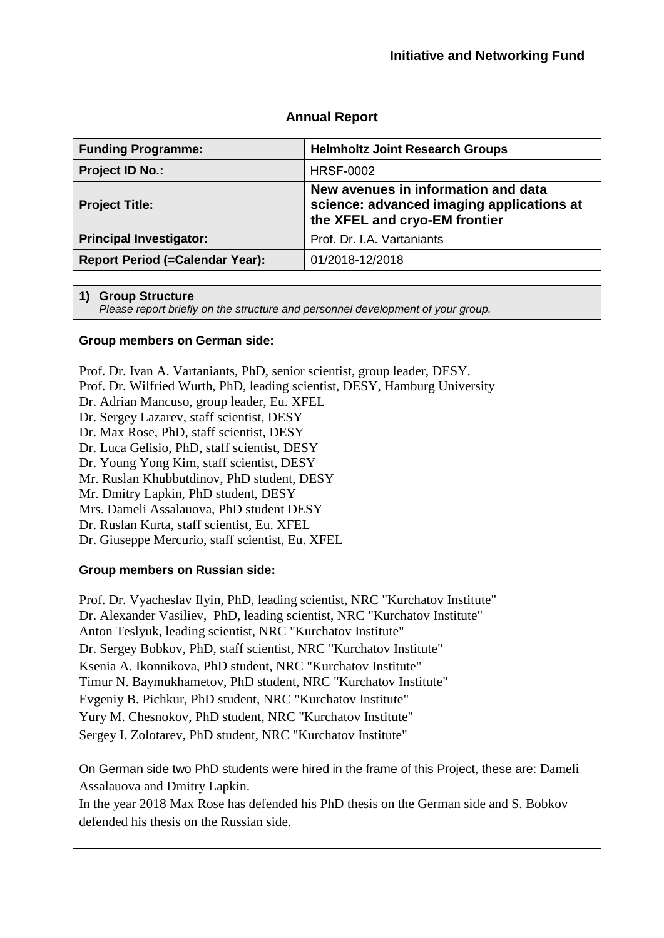## **Annual Report**

| <b>Funding Programme:</b>              | <b>Helmholtz Joint Research Groups</b>                                                                            |
|----------------------------------------|-------------------------------------------------------------------------------------------------------------------|
| Project ID No.:                        | <b>HRSF-0002</b>                                                                                                  |
| <b>Project Title:</b>                  | New avenues in information and data<br>science: advanced imaging applications at<br>the XFEL and cryo-EM frontier |
| <b>Principal Investigator:</b>         | Prof. Dr. I.A. Vartaniants                                                                                        |
| <b>Report Period (=Calendar Year):</b> | 01/2018-12/2018                                                                                                   |

#### **1) Group Structure**

*Please report briefly on the structure and personnel development of your group.*

#### **Group members on German side:**

Prof. Dr. Ivan A. Vartaniants, PhD, senior scientist, group leader, DESY.

Prof. Dr. Wilfried Wurth, PhD, leading scientist, DESY, Hamburg University

Dr. Adrian Mancuso, group leader, Eu. XFEL

Dr. Sergey Lazarev, staff scientist, DESY

Dr. Max Rose, PhD, staff scientist, DESY

Dr. Luca Gelisio, PhD, staff scientist, DESY

Dr. Young Yong Kim, staff scientist, DESY

Mr. Ruslan Khubbutdinov, PhD student, DESY

Mr. Dmitry Lapkin, PhD student, DESY

Mrs. Dameli Assalauova, PhD student DESY

Dr. Ruslan Kurta, staff scientist, Eu. XFEL

Dr. Giuseppe Mercurio, staff scientist, Eu. XFEL

### **Group members on Russian side:**

Prof. Dr. Vyacheslav Ilyin, PhD, leading scientist, NRC "Kurchatov Institute" Dr. Alexander Vasiliev, PhD, leading scientist, NRC "Kurchatov Institute" Anton Teslyuk, leading scientist, NRC "Kurchatov Institute" Dr. Sergey Bobkov, PhD, staff scientist, NRC "Kurchatov Institute" Ksenia A. Ikonnikova, PhD student, NRC "Kurchatov Institute" Timur N. Baymukhametov, PhD student, NRC "Kurchatov Institute" Evgeniy B. Pichkur, PhD student, NRC "Kurchatov Institute" Yury M. Chesnokov, PhD student, NRC "Kurchatov Institute" Sergey I. Zolotarev, PhD student, NRC "Kurchatov Institute"

On German side two PhD students were hired in the frame of this Project, these are: Dameli Assalauova and Dmitry Lapkin.

In the year 2018 Max Rose has defended his PhD thesis on the German side and S. Bobkov defended his thesis on the Russian side.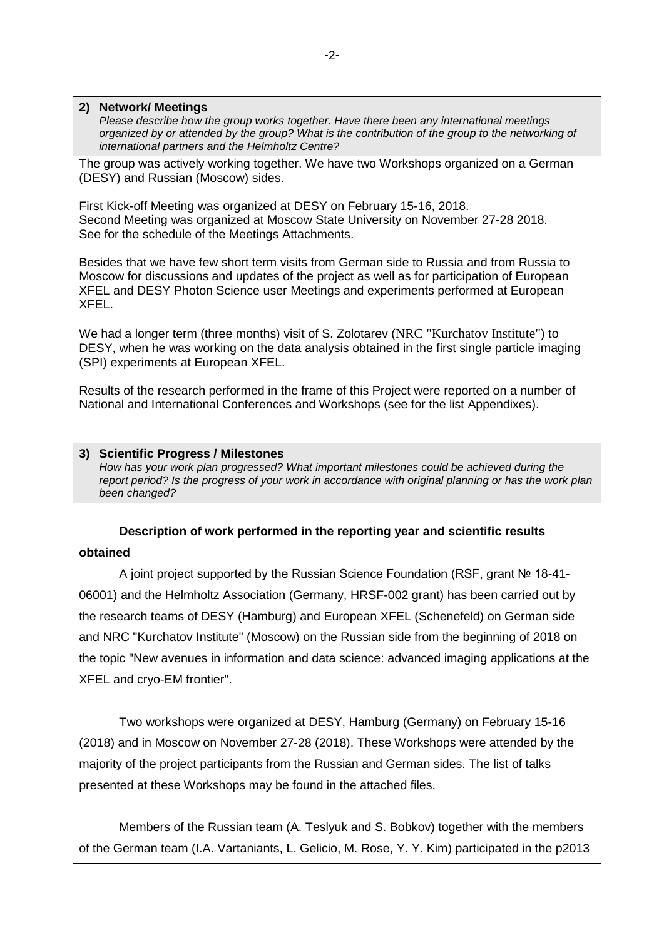#### **2) Network/ Meetings**

*Please describe how the group works together. Have there been any international meetings organized by or attended by the group? What is the contribution of the group to the networking of international partners and the Helmholtz Centre?*

The group was actively working together. We have two Workshops organized on a German (DESY) and Russian (Moscow) sides.

First Kick-off Meeting was organized at DESY on February 15-16, 2018. Second Meeting was organized at Moscow State University on November 27-28 2018. See for the schedule of the Meetings Attachments.

Besides that we have few short term visits from German side to Russia and from Russia to Moscow for discussions and updates of the project as well as for participation of European XFEL and DESY Photon Science user Meetings and experiments performed at European XFEL.

We had a longer term (three months) visit of S. Zolotarev (NRC "Kurchatov Institute") to DESY, when he was working on the data analysis obtained in the first single particle imaging (SPI) experiments at European XFEL.

Results of the research performed in the frame of this Project were reported on a number of National and International Conferences and Workshops (see for the list Appendixes).

#### **3) Scientific Progress / Milestones**

*How has your work plan progressed? What important milestones could be achieved during the report period? Is the progress of your work in accordance with original planning or has the work plan been changed?*

## **Description of work performed in the reporting year and scientific results**

#### **obtained**

A joint project supported by the Russian Science Foundation (RSF, grant № 18-41- 06001) and the Helmholtz Association (Germany, HRSF-002 grant) has been carried out by the research teams of DESY (Hamburg) and European XFEL (Schenefeld) on German side and NRC "Kurchatov Institute" (Moscow) on the Russian side from the beginning of 2018 on the topic "New avenues in information and data science: advanced imaging applications at the XFEL and cryo-EM frontier".

Two workshops were organized at DESY, Hamburg (Germany) on February 15-16 (2018) and in Moscow on November 27-28 (2018). These Workshops were attended by the majority of the project participants from the Russian and German sides. The list of talks presented at these Workshops may be found in the attached files.

Members of the Russian team (A. Teslyuk and S. Bobkov) together with the members of the German team (I.A. Vartaniants, L. Gelicio, M. Rose, Y. Y. Kim) participated in the p2013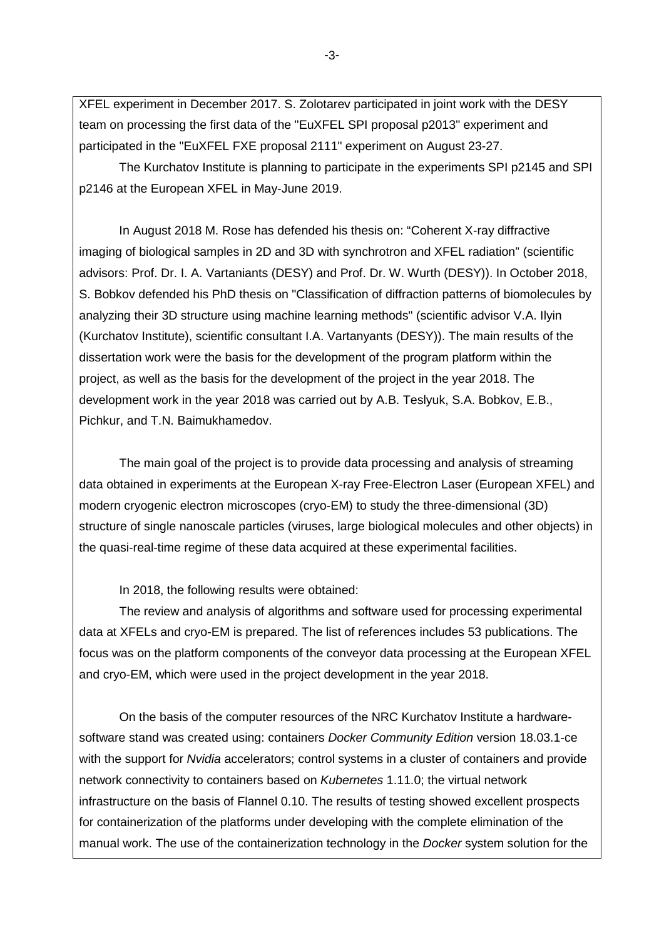XFEL experiment in December 2017. S. Zolotarev participated in joint work with the DESY team on processing the first data of the "EuXFEL SPI proposal p2013" experiment and participated in the "EuXFEL FXE proposal 2111" experiment on August 23-27.

The Kurchatov Institute is planning to participate in the experiments SPI p2145 and SPI p2146 at the European XFEL in May-June 2019.

In August 2018 M. Rose has defended his thesis on: "Coherent X-ray diffractive imaging of biological samples in 2D and 3D with synchrotron and XFEL radiation" (scientific advisors: Prof. Dr. I. A. Vartaniants (DESY) and Prof. Dr. W. Wurth (DESY)). In October 2018, S. Bobkov defended his PhD thesis on "Classification of diffraction patterns of biomolecules by analyzing their 3D structure using machine learning methods" (scientific advisor V.A. Ilyin (Kurchatov Institute), scientific consultant I.A. Vartanyants (DESY)). The main results of the dissertation work were the basis for the development of the program platform within the project, as well as the basis for the development of the project in the year 2018. The development work in the year 2018 was carried out by A.B. Teslyuk, S.A. Bobkov, E.B., Pichkur, and T.N. Baimukhamedov.

The main goal of the project is to provide data processing and analysis of streaming data obtained in experiments at the European X-ray Free-Electron Laser (European XFEL) and modern cryogenic electron microscopes (cryo-EM) to study the three-dimensional (3D) structure of single nanoscale particles (viruses, large biological molecules and other objects) in the quasi-real-time regime of these data acquired at these experimental facilities.

In 2018, the following results were obtained:

The review and analysis of algorithms and software used for processing experimental data at XFELs and cryo-EM is prepared. The list of references includes 53 publications. The focus was on the platform components of the conveyor data processing at the European XFEL and cryo-EM, which were used in the project development in the year 2018.

On the basis of the computer resources of the NRC Kurchatov Institute a hardwaresoftware stand was created using: containers *Docker Community Edition* version 18.03.1-ce with the support for *Nvidia* accelerators; control systems in a cluster of containers and provide network connectivity to containers based on *Kubernetes* 1.11.0; the virtual network infrastructure on the basis of Flannel 0.10. The results of testing showed excellent prospects for containerization of the platforms under developing with the complete elimination of the manual work. The use of the containerization technology in the *Docker* system solution for the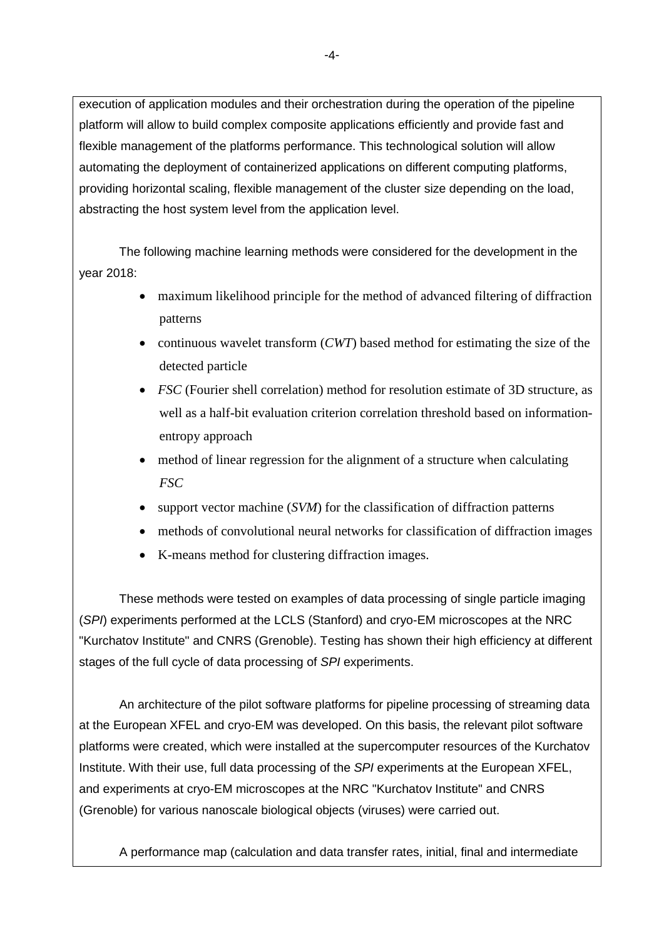execution of application modules and their orchestration during the operation of the pipeline platform will allow to build complex composite applications efficiently and provide fast and flexible management of the platforms performance. This technological solution will allow automating the deployment of containerized applications on different computing platforms, providing horizontal scaling, flexible management of the cluster size depending on the load, abstracting the host system level from the application level.

The following machine learning methods were considered for the development in the year 2018:

- maximum likelihood principle for the method of advanced filtering of diffraction patterns
- continuous wavelet transform (*CWT*) based method for estimating the size of the detected particle
- *FSC* (Fourier shell correlation) method for resolution estimate of 3D structure, as well as a half-bit evaluation criterion correlation threshold based on informationentropy approach
- method of linear regression for the alignment of a structure when calculating *FSC*
- support vector machine (*SVM*) for the classification of diffraction patterns
- methods of convolutional neural networks for classification of diffraction images
- K-means method for clustering diffraction images.

These methods were tested on examples of data processing of single particle imaging (*SPI*) experiments performed at the LCLS (Stanford) and cryo-EM microscopes at the NRC "Kurchatov Institute" and CNRS (Grenoble). Testing has shown their high efficiency at different stages of the full cycle of data processing of *SPI* experiments.

An architecture of the pilot software platforms for pipeline processing of streaming data at the European XFEL and cryo-EM was developed. On this basis, the relevant pilot software platforms were created, which were installed at the supercomputer resources of the Kurchatov Institute. With their use, full data processing of the *SPI* experiments at the European XFEL, and experiments at cryo-EM microscopes at the NRC "Kurchatov Institute" and CNRS (Grenoble) for various nanoscale biological objects (viruses) were carried out.

A performance map (calculation and data transfer rates, initial, final and intermediate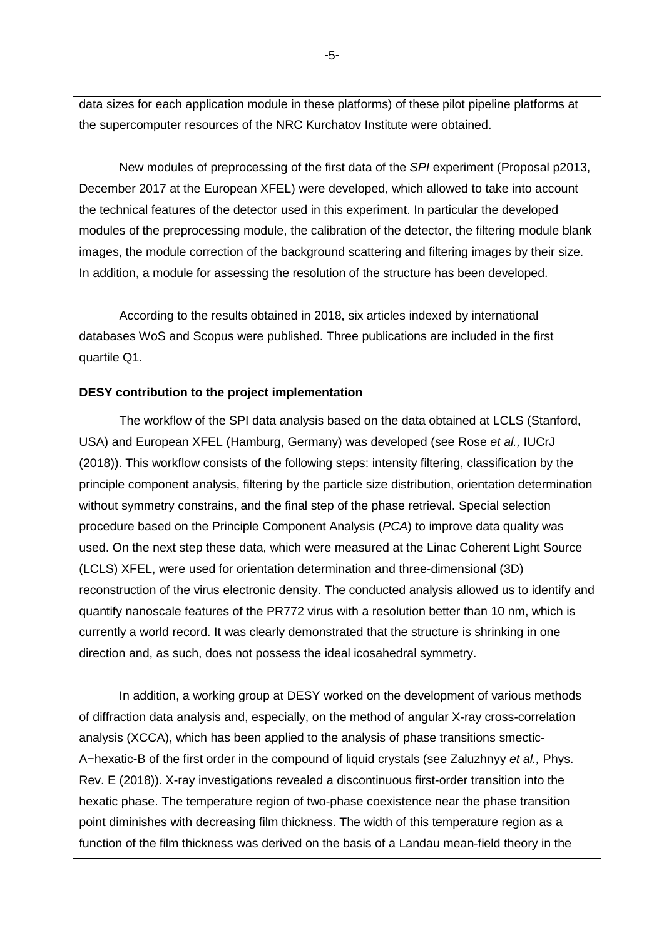data sizes for each application module in these platforms) of these pilot pipeline platforms at the supercomputer resources of the NRC Kurchatov Institute were obtained.

New modules of preprocessing of the first data of the *SPI* experiment (Proposal p2013, December 2017 at the European XFEL) were developed, which allowed to take into account the technical features of the detector used in this experiment. In particular the developed modules of the preprocessing module, the calibration of the detector, the filtering module blank images, the module correction of the background scattering and filtering images by their size. In addition, a module for assessing the resolution of the structure has been developed.

According to the results obtained in 2018, six articles indexed by international databases WoS and Scopus were published. Three publications are included in the first quartile Q1.

#### **DESY contribution to the project implementation**

The workflow of the SPI data analysis based on the data obtained at LCLS (Stanford, USA) and European XFEL (Hamburg, Germany) was developed (see Rose *et al.,* IUCrJ (2018)). This workflow consists of the following steps: intensity filtering, classification by the principle component analysis, filtering by the particle size distribution, orientation determination without symmetry constrains, and the final step of the phase retrieval. Special selection procedure based on the Principle Component Analysis (*PCA*) to improve data quality was used. On the next step these data, which were measured at the Linac Coherent Light Source (LCLS) XFEL, were used for orientation determination and three-dimensional (3D) reconstruction of the virus electronic density. The conducted analysis allowed us to identify and quantify nanoscale features of the PR772 virus with a resolution better than 10 nm, which is currently a world record. It was clearly demonstrated that the structure is shrinking in one direction and, as such, does not possess the ideal icosahedral symmetry.

In addition, a working group at DESY worked on the development of various methods of diffraction data analysis and, especially, on the method of angular X-ray cross-correlation analysis (XCCA), which has been applied to the analysis of phase transitions smectic-A−hexatic-B of the first order in the compound of liquid crystals (see Zaluzhnyy *et al.,* Phys. Rev. E (2018)). X-ray investigations revealed a discontinuous first-order transition into the hexatic phase. The temperature region of two-phase coexistence near the phase transition point diminishes with decreasing film thickness. The width of this temperature region as a function of the film thickness was derived on the basis of a Landau mean-field theory in the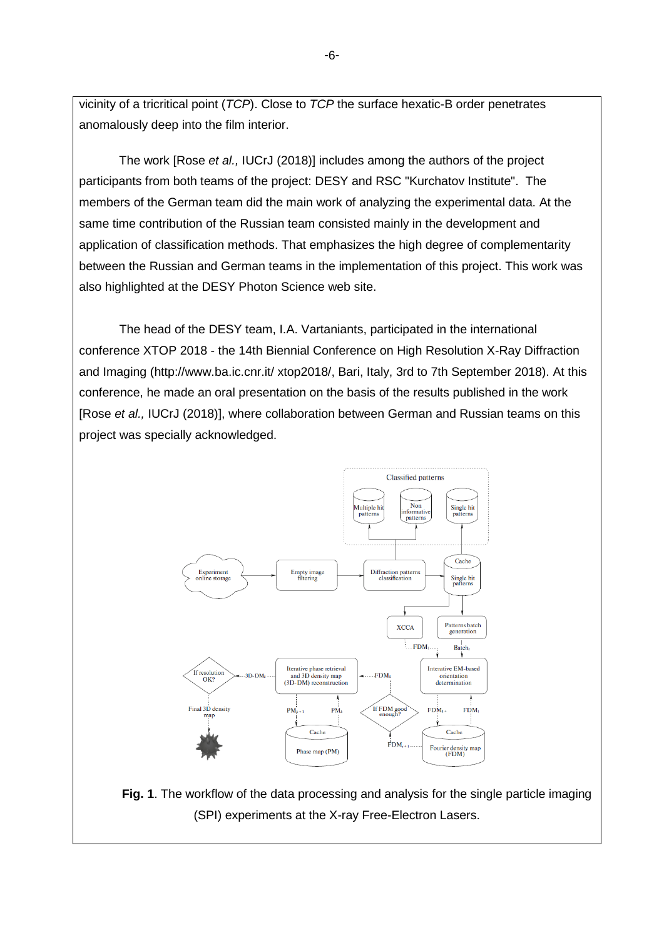vicinity of a tricritical point (*TCP*). Close to *TCP* the surface hexatic-B order penetrates anomalously deep into the film interior.

The work [Rose *et al.,* IUCrJ (2018)] includes among the authors of the project participants from both teams of the project: DESY and RSC "Kurchatov Institute". The members of the German team did the main work of analyzing the experimental data. At the same time contribution of the Russian team consisted mainly in the development and application of classification methods. That emphasizes the high degree of complementarity between the Russian and German teams in the implementation of this project. This work was also highlighted at the DESY Photon Science web site.

The head of the DESY team, I.A. Vartaniants, participated in the international conference XTOP 2018 - the 14th Biennial Conference on High Resolution X-Ray Diffraction and Imaging (http://www.ba.ic.cnr.it/ xtop2018/, Bari, Italy, 3rd to 7th September 2018). At this conference, he made an oral presentation on the basis of the results published in the work [Rose *et al.,* IUCrJ (2018)], where collaboration between German and Russian teams on this project was specially acknowledged.



**Fig. 1**. The workflow of the data processing and analysis for the single particle imaging (SPI) experiments at the X-ray Free-Electron Lasers.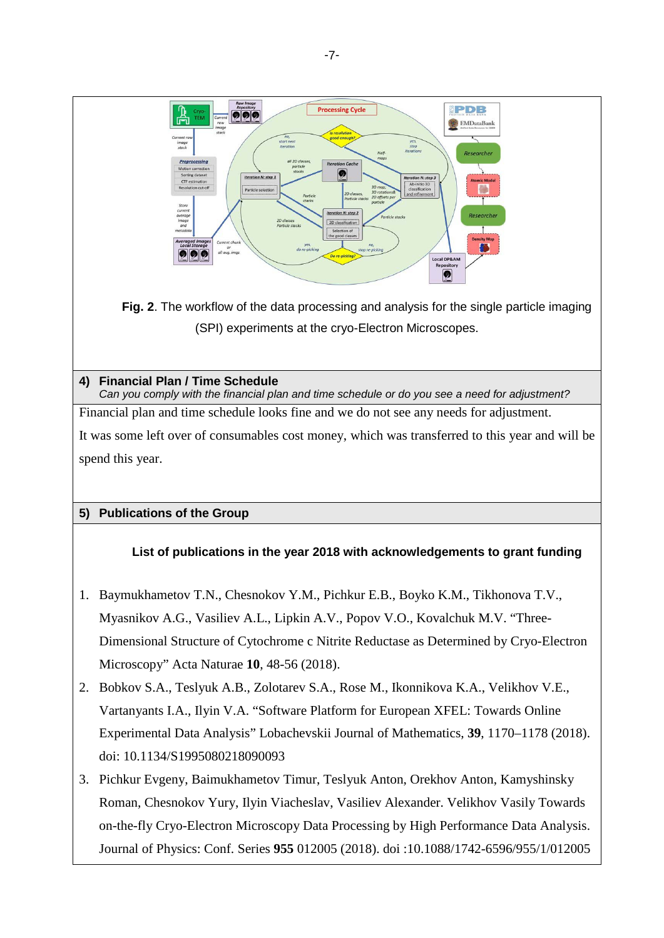

Journal of Physics: Conf. Series **955** 012005 (2018). doi :10.1088/1742-6596/955/1/012005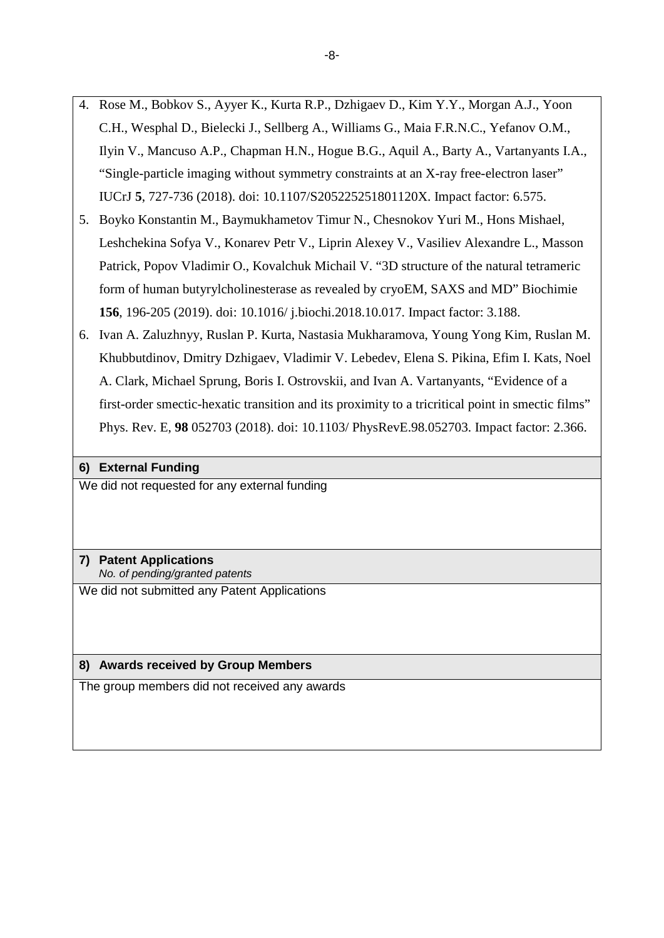- 4. Rose M., Bobkov S., Ayyer K., Kurta R.P., Dzhigaev D., Kim Y.Y., Morgan A.J., Yoon C.H., Wesphal D., Bielecki J., Sellberg A., Williams G., Maia F.R.N.C., Yefanov O.M., Ilyin V., Mancuso A.P., Chapman H.N., Hogue B.G., Aquil A., Barty A., Vartanyants I.A., "Single-particle imaging without symmetry constraints at an X-ray free-electron laser" IUCrJ **5**, 727-736 (2018). doi: 10.1107/S205225251801120X. Impact factor: 6.575.
- 5. Boyko Konstantin M., Baymukhametov Timur N., Chesnokov Yuri M., Hons Mishael, Leshchekina Sofya V., Konarev Petr V., Liprin Alexey V., Vasiliev Alexandre L., Masson Patrick, Popov Vladimir O., Kovalchuk Michail V. "3D structure of the natural tetrameric form of human butyrylcholinesterase as revealed by cryoEM, SAXS and MD" Biochimie **156**, 196-205 (2019). doi: 10.1016/ j.biochi.2018.10.017. Impact factor: 3.188.
- 6. Ivan A. Zaluzhnyy, Ruslan P. Kurta, Nastasia Mukharamova, Young Yong Kim, Ruslan M. Khubbutdinov, Dmitry Dzhigaev, Vladimir V. Lebedev, Elena S. Pikina, Efim I. Kats, Noel A. Clark, Michael Sprung, Boris I. Ostrovskii, and Ivan A. Vartanyants, "Evidence of a first-order smectic-hexatic transition and its proximity to a tricritical point in smectic films" Phys. Rev. E, **98** 052703 (2018). doi: 10.1103/ PhysRevE.98.052703. Impact factor: 2.366.

#### **6) External Funding**

We did not requested for any external funding

### **7) Patent Applications** *No. of pending/granted patents*

We did not submitted any Patent Applications

### **8) Awards received by Group Members**

The group members did not received any awards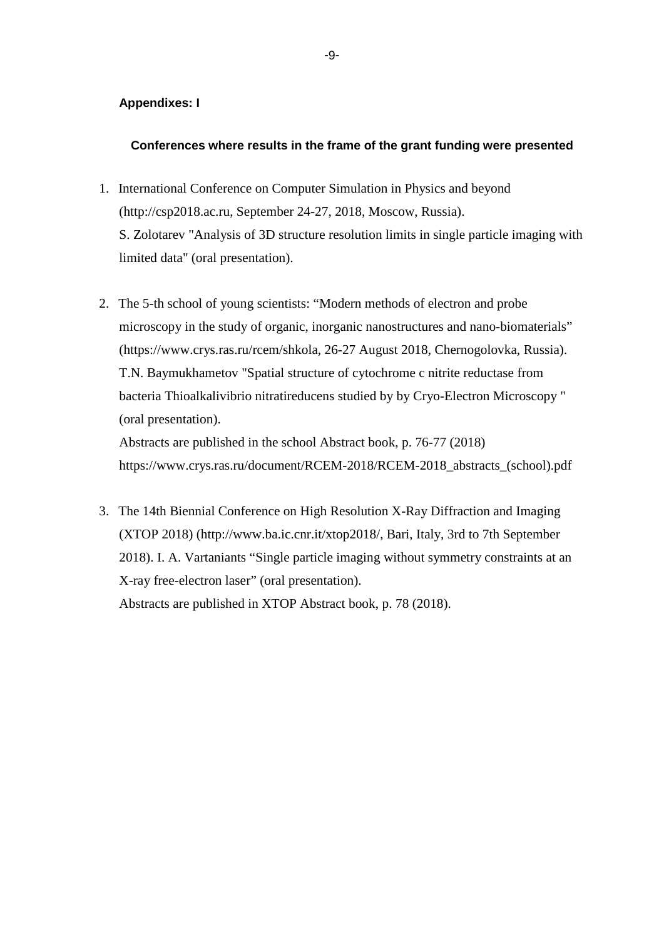#### **Appendixes: I**

#### **Conferences where results in the frame of the grant funding were presented**

- 1. International Conference on Computer Simulation in Physics and beyond (http://csp2018.ac.ru, September 24-27, 2018, Moscow, Russia). S. Zolotarev "Analysis of 3D structure resolution limits in single particle imaging with limited data" (oral presentation).
- 2. The 5-th school of young scientists: "Modern methods of electron and probe microscopy in the study of organic, inorganic nanostructures and nano-biomaterials" (https://www.crys.ras.ru/rcem/shkola, 26-27 August 2018, Chernogolovka, Russia). T.N. Baymukhametov "Spatial structure of cytochrome c nitrite reductase from bacteria Thioalkalivibrio nitratireducens studied by by Cryo-Electron Microscopy " (oral presentation).

Abstracts are published in the school Abstract book, p. 76-77 (2018) https://www.crys.ras.ru/document/RCEM-2018/RCEM-2018\_abstracts\_(school).pdf

3. The 14th Biennial Conference on High Resolution X-Ray Diffraction and Imaging (XTOP 2018) (http://www.ba.ic.cnr.it/xtop2018/, Bari, Italy, 3rd to 7th September 2018). I. A. Vartaniants "Single particle imaging without symmetry constraints at an X-ray free-electron laser" (oral presentation).

Abstracts are published in XTOP Abstract book, p. 78 (2018).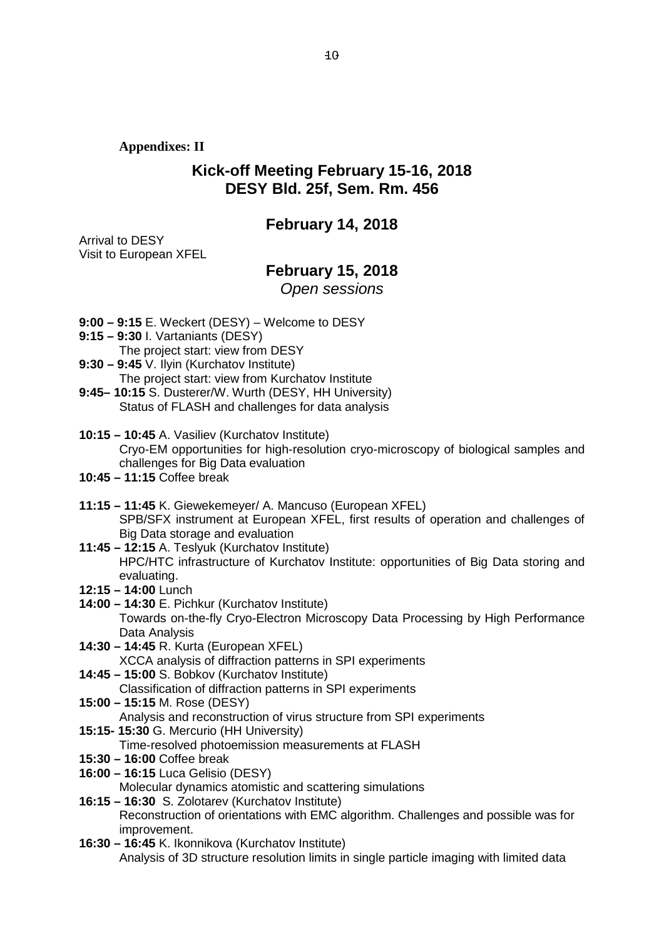**Appendixes: II**

## **Kick-off Meeting February 15-16, 2018 DESY Bld. 25f, Sem. Rm. 456**

## **February 14, 2018**

Arrival to DESY Visit to European XFEL

## **February 15, 2018**

*Open sessions*

- **9:00 – 9:15** E. Weckert (DESY) Welcome to DESY
- **9:15 – 9:30** I. Vartaniants (DESY)
- The project start: view from DESY
- **9:30 – 9:45** V. Ilyin (Kurchatov Institute) The project start: view from Kurchatov Institute
- **9:45– 10:15** S. Dusterer/W. Wurth (DESY, HH University) Status of FLASH and challenges for data analysis
- **10:15 – 10:45** A. Vasiliev (Kurchatov Institute) Cryo-EM opportunities for high-resolution cryo-microscopy of biological samples and challenges for Big Data evaluation
- **10:45 – 11:15** Coffee break
- **11:15 – 11:45** K. Giewekemeyer/ A. Mancuso (European XFEL) SPB/SFX instrument at European XFEL, first results of operation and challenges of Big Data storage and evaluation
- **11:45 – 12:15** A. Teslyuk (Kurchatov Institute) HPC/HTC infrastructure of Kurchatov Institute: opportunities of Big Data storing and evaluating.
- **12:15 – 14:00** Lunch
- **14:00 – 14:30** E. Pichkur (Kurchatov Institute) Towards on-the-fly Cryo-Electron Microscopy Data Processing by High Performance Data Analysis
- **14:30 – 14:45** R. Kurta (European XFEL) XCCA analysis of diffraction patterns in SPI experiments
- **14:45 – 15:00** S. Bobkov (Kurchatov Institute)

Classification of diffraction patterns in SPI experiments

- **15:00 – 15:15** M. Rose (DESY) Analysis and reconstruction of virus structure from SPI experiments
- **15:15- 15:30** G. Mercurio (HH University)
	- Time-resolved photoemission measurements at FLASH
- **15:30 – 16:00** Coffee break
- **16:00 – 16:15** Luca Gelisio (DESY)

Molecular dynamics atomistic and scattering simulations

- **16:15 – 16:30** S. Zolotarev (Kurchatov Institute) Reconstruction of orientations with EMC algorithm. Challenges and possible was for improvement.
- **16:30 – 16:45** K. Ikonnikova (Kurchatov Institute) Analysis of 3D structure resolution limits in single particle imaging with limited data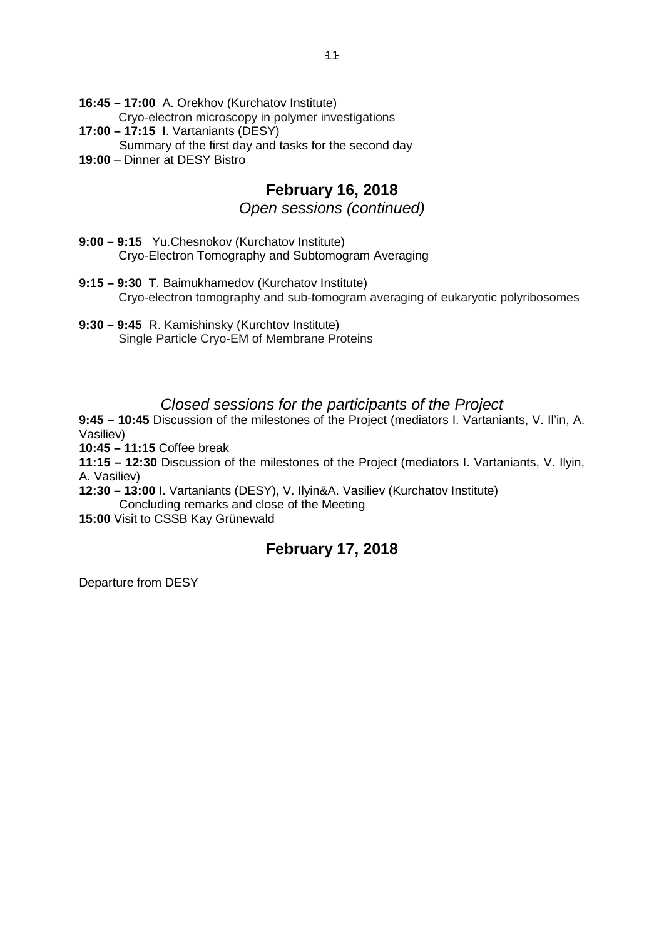**16:45 – 17:00** A. Orekhov (Kurchatov Institute) Cryo-electron microscopy in polymer investigations **17:00 – 17:15** I. Vartaniants (DESY) Summary of the first day and tasks for the second day

**19:00** – Dinner at DESY Bistro

# **February 16, 2018**

### *Open sessions (continued)*

- **9:00 – 9:15** Yu.Chesnokov (Kurchatov Institute) Cryo-Electron Tomography and Subtomogram Averaging
- **9:15 – 9:30** T. Baimukhamedov (Kurchatov Institute) Cryo-electron tomography and sub-tomogram averaging of eukaryotic polyribosomes
- **9:30 – 9:45** R. Kamishinsky (Kurchtov Institute) Single Particle Cryo-EM of Membrane Proteins

## *Closed sessions for the participants of the Project*

**9:45 – 10:45** Discussion of the milestones of the Project (mediators I. Vartaniants, V. Il'in, A. Vasiliev)

**10:45 – 11:15** Coffee break

**11:15 – 12:30** Discussion of the milestones of the Project (mediators I. Vartaniants, V. Ilyin, A. Vasiliev)

**12:30 – 13:00** I. Vartaniants (DESY), V. Ilyin&A. Vasiliev (Kurchatov Institute) Concluding remarks and close of the Meeting

**15:00** Visit to CSSB Kay Grünewald

# **February 17, 2018**

Departure from DESY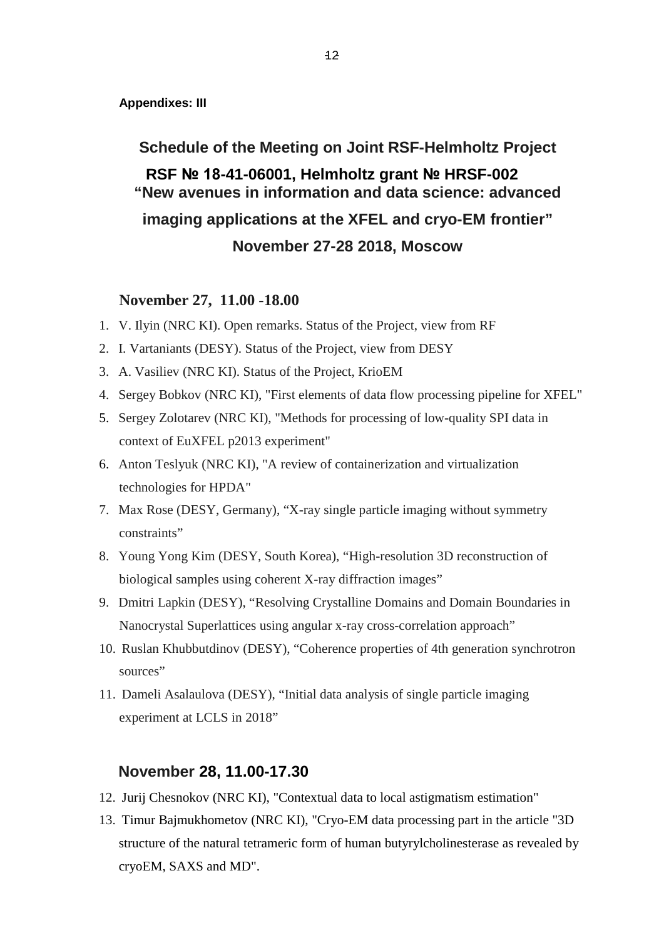**Appendixes: III**

**Schedule of the Meeting on Joint RSF-Helmholtz Project RSF № 18-41-06001, Helmholtz grant № HRSF-002 "New avenues in information and data science: advanced imaging applications at the XFEL and cryo-EM frontier" November 27-28 2018, Moscow**

## **November 27, 11.00 -18.00**

- 1. V. Ilyin (NRC KI). Open remarks. Status of the Project, view from RF
- 2. I. Vartaniants (DESY). Status of the Project, view from DESY
- 3. A. Vasiliev (NRC KI). Status of the Project, KrioEM
- 4. Sergey Bobkov (NRC KI), "First elements of data flow processing pipeline for XFEL"
- 5. Sergey Zolotarev (NRC KI), "Methods for processing of low-quality SPI data in context of EuXFEL p2013 experiment"
- 6. Anton Teslyuk (NRC KI), "A review of containerization and virtualization technologies for HPDA"
- 7. Max Rose (DESY, Germany), "X-ray single particle imaging without symmetry constraints"
- 8. Young Yong Kim (DESY, South Korea), "High-resolution 3D reconstruction of biological samples using coherent X-ray diffraction images"
- 9. Dmitri Lapkin (DESY), "Resolving Crystalline Domains and Domain Boundaries in Nanocrystal Superlattices using angular x-ray cross-correlation approach"
- 10. Ruslan Khubbutdinov (DESY), "Coherence properties of 4th generation synchrotron sources"
- 11. Dameli Asalaulova (DESY), "Initial data analysis of single particle imaging experiment at LCLS in 2018"

### **November 28, 11.00-17.30**

- 12. Jurij Chesnokov (NRC KI), "Contextual data to local astigmatism estimation"
- 13. Timur Bajmukhometov (NRC KI), "Cryo-EM data processing part in the article "3D structure of the natural tetrameric form of human butyrylcholinesterase as revealed by cryoEM, SAXS and MD".